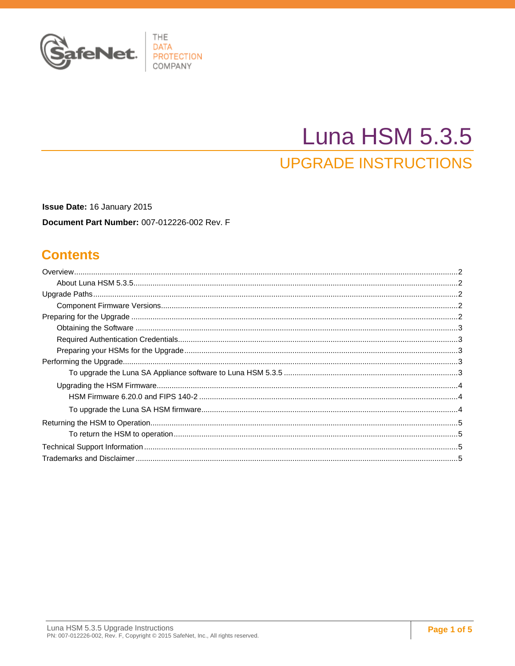

# **Luna HSM 5.3.5**

# **UPGRADE INSTRUCTIONS**

Issue Date: 16 January 2015 Document Part Number: 007-012226-002 Rev. F

### **Contents**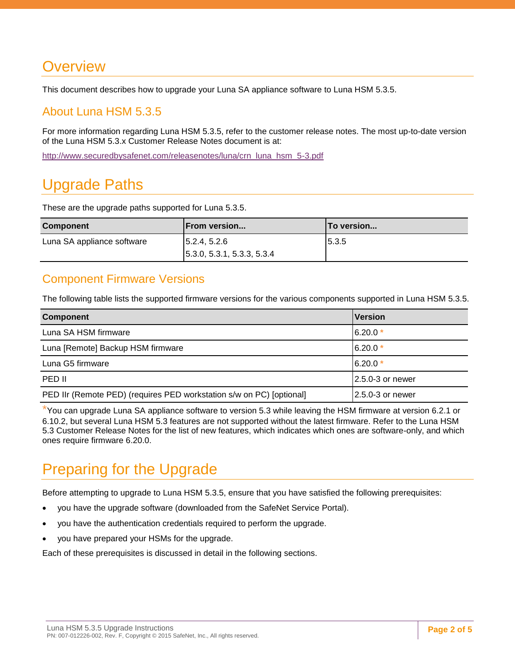# <span id="page-1-0"></span>**Overview**

This document describes how to upgrade your Luna SA appliance software to Luna HSM 5.3.5.

### <span id="page-1-1"></span>About Luna HSM 5.3.5

For more information regarding Luna HSM 5.3.5, refer to the customer release notes. The most up-to-date version of the Luna HSM 5.3.x Customer Release Notes document is at:

[http://www.securedbysafenet.com/releasenotes/luna/crn\\_luna\\_hsm\\_5-3.pdf](http://www.securedbysafenet.com/releasenotes/luna/crn_luna_hsm_5-3.pdf)

# <span id="page-1-2"></span>Upgrade Paths

These are the upgrade paths supported for Luna 5.3.5.

| <b>Component</b>           | <b>IFrom version</b>                     | lTo version |
|----------------------------|------------------------------------------|-------------|
| Luna SA appliance software | $\vert 5.2.4, 5.2.6 \vert$               | 5.3.5       |
|                            | $\vert 5.3.0, 5.3.1, 5.3.3, 5.3.4 \vert$ |             |

### <span id="page-1-3"></span>Component Firmware Versions

The following table lists the supported firmware versions for the various components supported in Luna HSM 5.3.5.

| <b>Component</b>                                                     | <b>Version</b>    |
|----------------------------------------------------------------------|-------------------|
| Luna SA HSM firmware                                                 | $6.20.0*$         |
| Luna [Remote] Backup HSM firmware                                    | $6.20.0*$         |
| Luna G5 firmware                                                     | $6.20.0*$         |
| PED II                                                               | 12.5.0-3 or newer |
| PED IIr (Remote PED) (requires PED workstation s/w on PC) [optional] | 12.5.0-3 or newer |

\*You can upgrade Luna SA appliance software to version 5.3 while leaving the HSM firmware at version 6.2.1 or 6.10.2, but several Luna HSM 5.3 features are not supported without the latest firmware. Refer to the Luna HSM 5.3 Customer Release Notes for the list of new features, which indicates which ones are software-only, and which ones require firmware 6.20.0.

# <span id="page-1-4"></span>Preparing for the Upgrade

Before attempting to upgrade to Luna HSM 5.3.5, ensure that you have satisfied the following prerequisites:

- you have the upgrade software (downloaded from the SafeNet Service Portal).
- you have the authentication credentials required to perform the upgrade.
- you have prepared your HSMs for the upgrade.

Each of these prerequisites is discussed in detail in the following sections.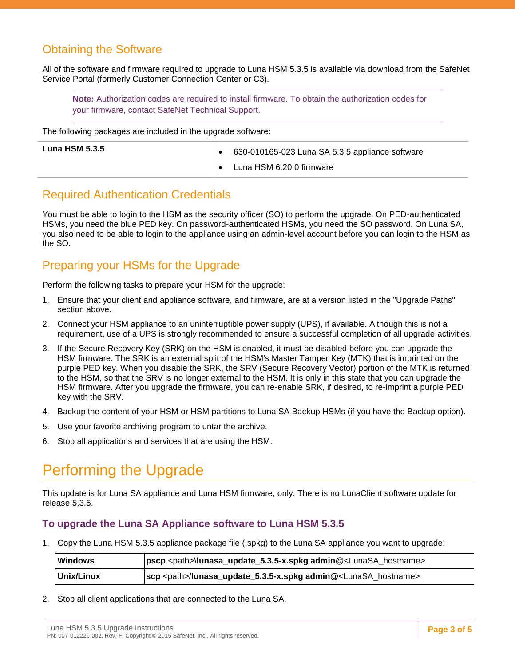### <span id="page-2-0"></span>Obtaining the Software

All of the software and firmware required to upgrade to Luna HSM 5.3.5 is available via download from the SafeNet Service Portal (formerly Customer Connection Center or C3).

**Note:** Authorization codes are required to install firmware. To obtain the authorization codes for your firmware, contact SafeNet Technical Support.

The following packages are included in the upgrade software:

| <b>Luna HSM 5.3.5</b> | 630-010165-023 Luna SA 5.3.5 appliance software |
|-----------------------|-------------------------------------------------|
|                       | Luna HSM 6.20.0 firmware                        |

### <span id="page-2-1"></span>Required Authentication Credentials

You must be able to login to the HSM as the security officer (SO) to perform the upgrade. On PED-authenticated HSMs, you need the blue PED key. On password-authenticated HSMs, you need the SO password. On Luna SA, you also need to be able to login to the appliance using an admin-level account before you can login to the HSM as the SO.

### <span id="page-2-2"></span>Preparing your HSMs for the Upgrade

Perform the following tasks to prepare your HSM for the upgrade:

- 1. Ensure that your client and appliance software, and firmware, are at a version listed in the "Upgrade Paths" section above.
- 2. Connect your HSM appliance to an uninterruptible power supply (UPS), if available. Although this is not a requirement, use of a UPS is strongly recommended to ensure a successful completion of all upgrade activities.
- 3. If the Secure Recovery Key (SRK) on the HSM is enabled, it must be disabled before you can upgrade the HSM firmware. The SRK is an external split of the HSM's Master Tamper Key (MTK) that is imprinted on the purple PED key. When you disable the SRK, the SRV (Secure Recovery Vector) portion of the MTK is returned to the HSM, so that the SRV is no longer external to the HSM. It is only in this state that you can upgrade the HSM firmware. After you upgrade the firmware, you can re-enable SRK, if desired, to re-imprint a purple PED key with the SRV.
- 4. Backup the content of your HSM or HSM partitions to Luna SA Backup HSMs (if you have the Backup option).
- 5. Use your favorite archiving program to untar the archive.
- 6. Stop all applications and services that are using the HSM.

# <span id="page-2-3"></span>Performing the Upgrade

This update is for Luna SA appliance and Luna HSM firmware, only. There is no LunaClient software update for release 5.3.5.

#### <span id="page-2-4"></span>**To upgrade the Luna SA Appliance software to Luna HSM 5.3.5**

1. Copy the Luna HSM 5.3.5 appliance package file (.spkg) to the Luna SA appliance you want to upgrade:

| Windows    | pscp <path>\lunasa_update_5.3.5-x.spkg admin@<lunasa_hostname></lunasa_hostname></path> |
|------------|-----------------------------------------------------------------------------------------|
| Unix/Linux | scp <path>/lunasa_update_5.3.5-x.spkg admin@<lunasa_hostname></lunasa_hostname></path>  |

2. Stop all client applications that are connected to the Luna SA.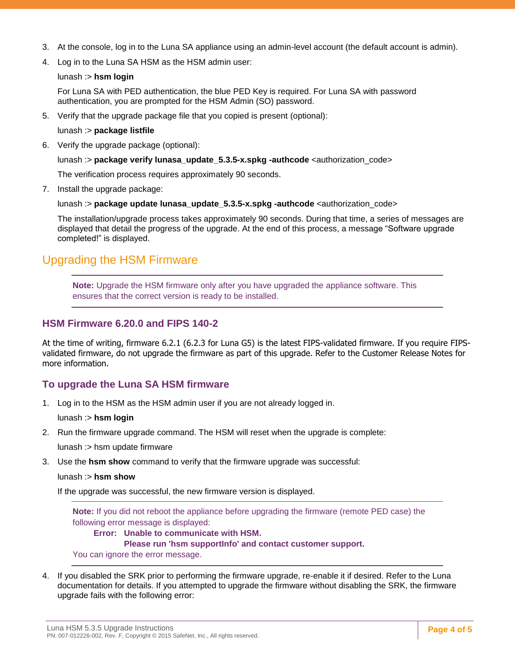- 3. At the console, log in to the Luna SA appliance using an admin-level account (the default account is admin).
- 4. Log in to the Luna SA HSM as the HSM admin user:

#### lunash :> **hsm login**

For Luna SA with PED authentication, the blue PED Key is required. For Luna SA with password authentication, you are prompted for the HSM Admin (SO) password.

5. Verify that the upgrade package file that you copied is present (optional):

lunash :> **package listfile**

6. Verify the upgrade package (optional):

lunash :> **package verify lunasa update 5.3.5-x.spkg -authcode** <authorization code>

The verification process requires approximately 90 seconds.

7. Install the upgrade package:

lunash :> **package update lunasa update 5.3.5-x.spkg -authcode** <authorization code>

The installation/upgrade process takes approximately 90 seconds. During that time, a series of messages are displayed that detail the progress of the upgrade. At the end of this process, a message "Software upgrade completed!" is displayed.

### <span id="page-3-0"></span>Upgrading the HSM Firmware

**Note:** Upgrade the HSM firmware only after you have upgraded the appliance software. This ensures that the correct version is ready to be installed.

#### <span id="page-3-1"></span>**HSM Firmware 6.20.0 and FIPS 140-2**

At the time of writing, firmware 6.2.1 (6.2.3 for Luna G5) is the latest FIPS-validated firmware. If you require FIPSvalidated firmware, do not upgrade the firmware as part of this upgrade. Refer to the Customer Release Notes for more information.

#### <span id="page-3-2"></span>**To upgrade the Luna SA HSM firmware**

1. Log in to the HSM as the HSM admin user if you are not already logged in.

lunash :> **hsm login**

2. Run the firmware upgrade command. The HSM will reset when the upgrade is complete:

lunash :> hsm update firmware

3. Use the **hsm show** command to verify that the firmware upgrade was successful:

#### lunash :> **hsm show**

If the upgrade was successful, the new firmware version is displayed.

**Note:** If you did not reboot the appliance before upgrading the firmware (remote PED case) the following error message is displayed:

#### **Error: Unable to communicate with HSM.**

#### **Please run 'hsm supportInfo' and contact customer support.**

You can ignore the error message.

4. If you disabled the SRK prior to performing the firmware upgrade, re-enable it if desired. Refer to the Luna documentation for details. If you attempted to upgrade the firmware without disabling the SRK, the firmware upgrade fails with the following error: